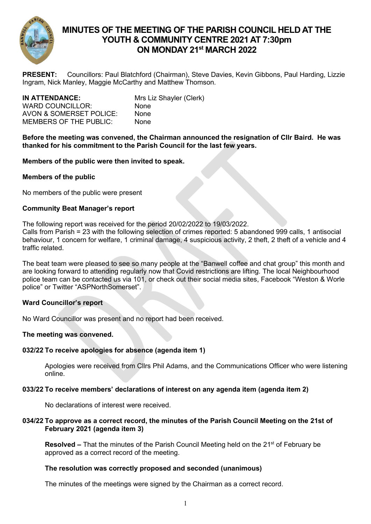

# **MINUTES OF THE MEETING OF THE PARISH COUNCIL HELD AT THE YOUTH & COMMUNITY CENTRE 2021 AT 7:30pm ON MONDAY 21 st MARCH 2022**

**PRESENT:** Councillors: Paul Blatchford (Chairman), Steve Davies, Kevin Gibbons, Paul Harding, Lizzie Ingram, Nick Manley, Maggie McCarthy and Matthew Thomson.

| IN ATTENDANCE:                | Mrs Liz Shayler (Clerk) |
|-------------------------------|-------------------------|
| WARD COUNCILLOR:              | None                    |
| AVON & SOMERSET POLICE:       | <b>None</b>             |
| <b>MEMBERS OF THE PUBLIC:</b> | None                    |
|                               |                         |

**Before the meeting was convened, the Chairman announced the resignation of Cllr Baird. He was thanked for his commitment to the Parish Council for the last few years.**

**Members of the public were then invited to speak.**

# **Members of the public**

No members of the public were present

## **Community Beat Manager's report**

The following report was received for the period 20/02/2022 to 19/03/2022.

Calls from Parish = 23 with the following selection of crimes reported: 5 abandoned 999 calls, 1 antisocial behaviour, 1 concern for welfare, 1 criminal damage, 4 suspicious activity, 2 theft, 2 theft of a vehicle and 4 traffic related.

The beat team were pleased to see so many people at the "Banwell coffee and chat group" this month and are looking forward to attending regularly now that Covid restrictions are lifting. The local Neighbourhood police team can be contacted us via 101, or check out their social media sites, Facebook "Weston & Worle police" or Twitter "ASPNorthSomerset".

# **Ward Councillor's report**

No Ward Councillor was present and no report had been received.

### **The meeting was convened.**

# **032/22 To receive apologies for absence (agenda item 1)**

Apologies were received from Cllrs Phil Adams, and the Communications Officer who were listening online.

### **033/22 To receive members' declarations of interest on any agenda item (agenda item 2)**

No declarations of interest were received.

# **034/22 To approve as a correct record, the minutes of the Parish Council Meeting on the 21st of February 2021 (agenda item 3)**

**Resolved –** That the minutes of the Parish Council Meeting held on the 21<sup>st</sup> of February be approved as a correct record of the meeting.

# **The resolution was correctly proposed and seconded (unanimous)**

The minutes of the meetings were signed by the Chairman as a correct record.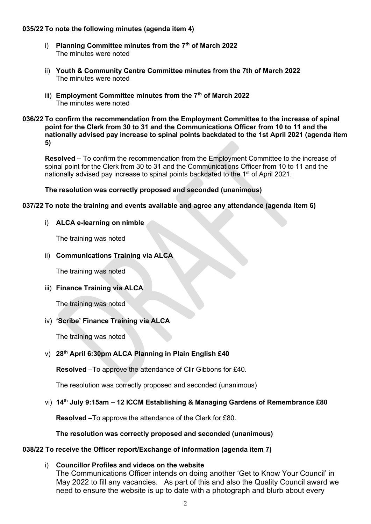# **035/22 To note the following minutes (agenda item 4)**

- i) **Planning Committee minutes from the 7th of March 2022** The minutes were noted
- ii) **Youth & Community Centre Committee minutes from the 7th of March 2022** The minutes were noted
- iii) **Employment Committee minutes from the 7th of March 2022** The minutes were noted
- **036/22 To confirm the recommendation from the Employment Committee to the increase of spinal point for the Clerk from 30 to 31 and the Communications Officer from 10 to 11 and the nationally advised pay increase to spinal points backdated to the 1st April 2021 (agenda item 5)**

**Resolved –** To confirm the recommendation from the Employment Committee to the increase of spinal point for the Clerk from 30 to 31 and the Communications Officer from 10 to 11 and the nationally advised pay increase to spinal points backdated to the 1<sup>st</sup> of April 2021.

# **The resolution was correctly proposed and seconded (unanimous)**

# **037/22 To note the training and events available and agree any attendance (agenda item 6)**

# i) **ALCA e-learning on nimble**

The training was noted

# ii) **Communications Training via ALCA**

The training was noted

# iii) **Finance Training via ALCA**

The training was noted

# iv) **'Scribe' Finance Training via ALCA**

The training was noted

# v) **28 th April 6:30pm ALCA Planning in Plain English £40**

**Resolved** –To approve the attendance of Cllr Gibbons for £40.

The resolution was correctly proposed and seconded (unanimous)

# vi) **14th July 9:15am – 12 ICCM Establishing & Managing Gardens of Remembrance £80**

**Resolved –**To approve the attendance of the Clerk for £80.

# **The resolution was correctly proposed and seconded (unanimous)**

# **038/22 To receive the Officer report/Exchange of information (agenda item 7)**

### i) **Councillor Profiles and videos on the website**

The Communications Officer intends on doing another 'Get to Know Your Council' in May 2022 to fill any vacancies. As part of this and also the Quality Council award we need to ensure the website is up to date with a photograph and blurb about every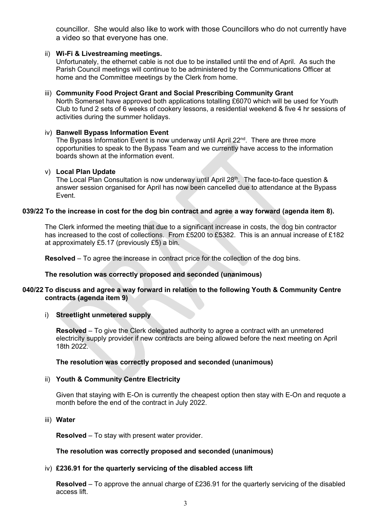councillor. She would also like to work with those Councillors who do not currently have a video so that everyone has one.

## ii) **Wi-Fi & Livestreaming meetings.**

Unfortunately, the ethernet cable is not due to be installed until the end of April. As such the Parish Council meetings will continue to be administered by the Communications Officer at home and the Committee meetings by the Clerk from home.

## iii) **Community Food Project Grant and Social Prescribing Community Grant**

North Somerset have approved both applications totalling £6070 which will be used for Youth Club to fund 2 sets of 6 weeks of cookery lessons, a residential weekend & five 4 hr sessions of activities during the summer holidays.

## iv) **Banwell Bypass Information Event**

The Bypass Information Event is now underway until April 22<sup>nd</sup>. There are three more opportunities to speak to the Bypass Team and we currently have access to the information boards shown at the information event.

### v) **Local Plan Update**

The Local Plan Consultation is now underway until April  $28<sup>th</sup>$ . The face-to-face question & answer session organised for April has now been cancelled due to attendance at the Bypass Event.

## **039/22 To the increase in cost for the dog bin contract and agree a way forward (agenda item 8).**

The Clerk informed the meeting that due to a significant increase in costs, the dog bin contractor has increased to the cost of collections. From £5200 to £5382. This is an annual increase of £182 at approximately £5.17 (previously £5) a bin.

**Resolved** – To agree the increase in contract price for the collection of the dog bins.

# **The resolution was correctly proposed and seconded (unanimous)**

## **040/22 To discuss and agree a way forward in relation to the following Youth & Community Centre contracts (agenda item 9)**

### i) **Streetlight unmetered supply**

**Resolved** – To give the Clerk delegated authority to agree a contract with an unmetered electricity supply provider if new contracts are being allowed before the next meeting on April 18th 2022.

## **The resolution was correctly proposed and seconded (unanimous)**

# ii) **Youth & Community Centre Electricity**

Given that staying with E-On is currently the cheapest option then stay with E-On and requote a month before the end of the contract in July 2022.

# iii) **Water**

**Resolved** – To stay with present water provider.

# **The resolution was correctly proposed and seconded (unanimous)**

# iv) **£236.91 for the quarterly servicing of the disabled access lift**

**Resolved** – To approve the annual charge of £236.91 for the quarterly servicing of the disabled access lift.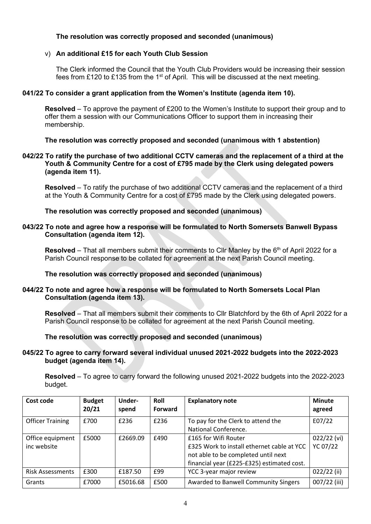# **The resolution was correctly proposed and seconded (unanimous)**

# v) **An additional £15 for each Youth Club Session**

The Clerk informed the Council that the Youth Club Providers would be increasing their session fees from £120 to £135 from the 1<sup>st</sup> of April. This will be discussed at the next meeting.

# **041/22 To consider a grant application from the Women's Institute (agenda item 10).**

**Resolved** – To approve the payment of £200 to the Women's Institute to support their group and to offer them a session with our Communications Officer to support them in increasing their membership.

# **The resolution was correctly proposed and seconded (unanimous with 1 abstention)**

# **042/22 To ratify the purchase of two additional CCTV cameras and the replacement of a third at the Youth & Community Centre for a cost of £795 made by the Clerk using delegated powers (agenda item 11).**

**Resolved** – To ratify the purchase of two additional CCTV cameras and the replacement of a third at the Youth & Community Centre for a cost of £795 made by the Clerk using delegated powers.

# **The resolution was correctly proposed and seconded (unanimous)**

# **043/22 To note and agree how a response will be formulated to North Somersets Banwell Bypass Consultation (agenda item 12).**

**Resolved** – That all members submit their comments to Cllr Manley by the 6<sup>th</sup> of April 2022 for a Parish Council response to be collated for agreement at the next Parish Council meeting.

# **The resolution was correctly proposed and seconded (unanimous)**

# **044/22 To note and agree how a response will be formulated to North Somersets Local Plan Consultation (agenda item 13).**

**Resolved** – That all members submit their comments to Cllr Blatchford by the 6th of April 2022 for a Parish Council response to be collated for agreement at the next Parish Council meeting.

# **The resolution was correctly proposed and seconded (unanimous)**

## **045/22 To agree to carry forward several individual unused 2021-2022 budgets into the 2022-2023 budget (agenda item 14).**

**Resolved** – To agree to carry forward the following unused 2021-2022 budgets into the 2022-2023 budget.

| Cost code                       | <b>Budget</b><br>20/21 | Under-<br>spend | Roll<br><b>Forward</b> | <b>Explanatory note</b>                                                                                                                                 | <b>Minute</b><br>agreed   |
|---------------------------------|------------------------|-----------------|------------------------|---------------------------------------------------------------------------------------------------------------------------------------------------------|---------------------------|
| <b>Officer Training</b>         | £700                   | £236            | £236                   | To pay for the Clerk to attend the<br>National Conference.                                                                                              | E07/22                    |
| Office equipment<br>inc website | £5000                  | £2669.09        | £490                   | £165 for Wifi Router<br>£325 Work to install ethernet cable at YCC<br>not able to be completed until next<br>financial year (£225-£325) estimated cost. | $022/22$ (vi)<br>YC 07/22 |
| <b>Risk Assessments</b>         | £300                   | £187.50         | £99                    | YCC 3-year major review                                                                                                                                 | 022/22 (ii)               |
| Grants                          | £7000                  | £5016.68        | £500                   | <b>Awarded to Banwell Community Singers</b>                                                                                                             | 007/22 (iii)              |